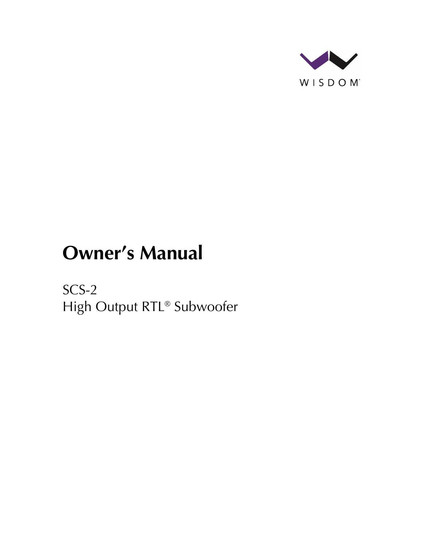

# **Owner's Manual**

SCS-2 High Output RTL® Subwoofer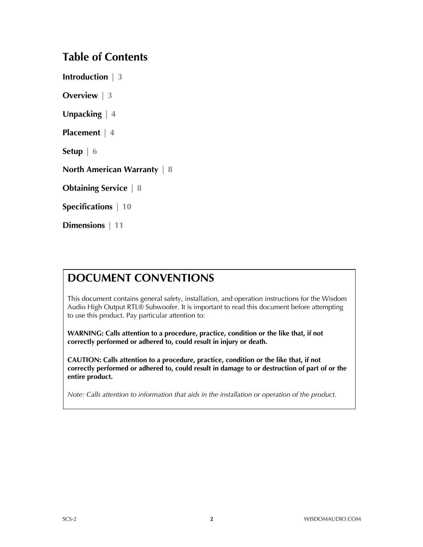### **Table of Contents**

**Introduction | 3**

**Overview | 3**

**Unpacking | 4**

**Placement | 4**

**Setup | 6**

**North American Warranty | 8**

**Obtaining Service | 8**

**Specifications | 10**

**Dimensions | 11**

### **DOCUMENT CONVENTIONS**

This document contains general safety, installation, and operation instructions for the Wisdom Audio High Output RTL® Subwoofer. It is important to read this document before attempting to use this product. Pay particular attention to:

**WARNING: Calls attention to a procedure, practice, condition or the like that, if not correctly performed or adhered to, could result in injury or death.** 

**CAUTION: Calls attention to a procedure, practice, condition or the like that, if not correctly performed or adhered to, could result in damage to or destruction of part of or the entire product.** 

*Note: Calls attention to information that aids in the installation or operation of the product.*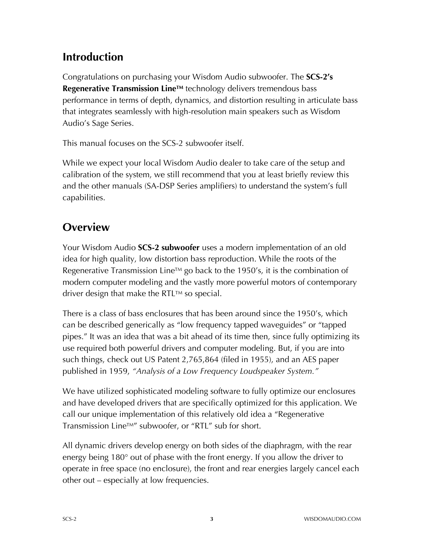# **Introduction**

Congratulations on purchasing your Wisdom Audio subwoofer. The **SCS-2's Regenerative Transmission Line™** technology delivers tremendous bass performance in terms of depth, dynamics, and distortion resulting in articulate bass that integrates seamlessly with high-resolution main speakers such as Wisdom Audio's Sage Series.

This manual focuses on the SCS-2 subwoofer itself.

While we expect your local Wisdom Audio dealer to take care of the setup and calibration of the system, we still recommend that you at least briefly review this and the other manuals (SA-DSP Series amplifiers) to understand the system's full capabilities.

# **Overview**

Your Wisdom Audio **SCS-2 subwoofer** uses a modern implementation of an old idea for high quality, low distortion bass reproduction. While the roots of the Regenerative Transmission Line<sup>TM</sup> go back to the 1950's, it is the combination of modern computer modeling and the vastly more powerful motors of contemporary driver design that make the RTL™ so special.

There is a class of bass enclosures that has been around since the 1950's, which can be described generically as "low frequency tapped waveguides" or "tapped pipes." It was an idea that was a bit ahead of its time then, since fully optimizing its use required both powerful drivers and computer modeling. But, if you are into such things, check out US Patent 2,765,864 (filed in 1955), and an AES paper published in 1959, *"Analysis of a Low Frequency Loudspeaker System."*

We have utilized sophisticated modeling software to fully optimize our enclosures and have developed drivers that are specifically optimized for this application. We call our unique implementation of this relatively old idea a "Regenerative Transmission LineTM" subwoofer, or "RTL" sub for short.

All dynamic drivers develop energy on both sides of the diaphragm, with the rear energy being 180° out of phase with the front energy. If you allow the driver to operate in free space (no enclosure), the front and rear energies largely cancel each other out – especially at low frequencies.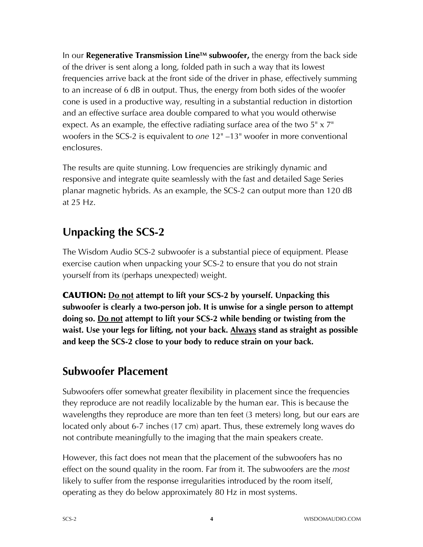In our **Regenerative Transmission LineTM subwoofer,** the energy from the back side of the driver is sent along a long, folded path in such a way that its lowest frequencies arrive back at the front side of the driver in phase, effectively summing to an increase of 6 dB in output. Thus, the energy from both sides of the woofer cone is used in a productive way, resulting in a substantial reduction in distortion and an effective surface area double compared to what you would otherwise expect. As an example, the effective radiating surface area of the two  $5" \times 7"$ woofers in the SCS-2 is equivalent to *one* 12" –13" woofer in more conventional enclosures.

The results are quite stunning. Low frequencies are strikingly dynamic and responsive and integrate quite seamlessly with the fast and detailed Sage Series planar magnetic hybrids. As an example, the SCS-2 can output more than 120 dB at 25 Hz.

# **Unpacking the SCS-2**

The Wisdom Audio SCS-2 subwoofer is a substantial piece of equipment. Please exercise caution when unpacking your SCS-2 to ensure that you do not strain yourself from its (perhaps unexpected) weight.

CAUTION: **Do not attempt to lift your SCS-2 by yourself. Unpacking this subwoofer is clearly a two-person job. It is unwise for a single person to attempt doing so. Do not attempt to lift your SCS-2 while bending or twisting from the waist. Use your legs for lifting, not your back. Always stand as straight as possible and keep the SCS-2 close to your body to reduce strain on your back.** 

# **Subwoofer Placement**

Subwoofers offer somewhat greater flexibility in placement since the frequencies they reproduce are not readily localizable by the human ear. This is because the wavelengths they reproduce are more than ten feet (3 meters) long, but our ears are located only about 6-7 inches (17 cm) apart. Thus, these extremely long waves do not contribute meaningfully to the imaging that the main speakers create.

However, this fact does not mean that the placement of the subwoofers has no effect on the sound quality in the room. Far from it. The subwoofers are the *most*  likely to suffer from the response irregularities introduced by the room itself, operating as they do below approximately 80 Hz in most systems.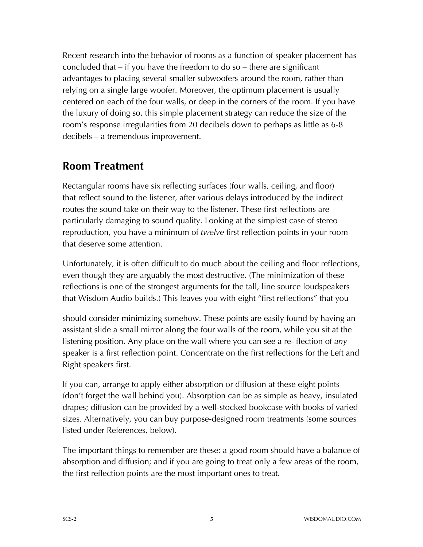Recent research into the behavior of rooms as a function of speaker placement has concluded that – if you have the freedom to do so – there are significant advantages to placing several smaller subwoofers around the room, rather than relying on a single large woofer. Moreover, the optimum placement is usually centered on each of the four walls, or deep in the corners of the room. If you have the luxury of doing so, this simple placement strategy can reduce the size of the room's response irregularities from 20 decibels down to perhaps as little as 6-8 decibels – a tremendous improvement.

### **Room Treatment**

Rectangular rooms have six reflecting surfaces (four walls, ceiling, and floor) that reflect sound to the listener, after various delays introduced by the indirect routes the sound take on their way to the listener. These first reflections are particularly damaging to sound quality. Looking at the simplest case of stereo reproduction, you have a minimum of *twelve* first reflection points in your room that deserve some attention.

Unfortunately, it is often difficult to do much about the ceiling and floor reflections, even though they are arguably the most destructive. (The minimization of these reflections is one of the strongest arguments for the tall, line source loudspeakers that Wisdom Audio builds.) This leaves you with eight "first reflections" that you

should consider minimizing somehow. These points are easily found by having an assistant slide a small mirror along the four walls of the room, while you sit at the listening position. Any place on the wall where you can see a re- flection of *any*  speaker is a first reflection point. Concentrate on the first reflections for the Left and Right speakers first.

If you can, arrange to apply either absorption or diffusion at these eight points (don't forget the wall behind you). Absorption can be as simple as heavy, insulated drapes; diffusion can be provided by a well-stocked bookcase with books of varied sizes. Alternatively, you can buy purpose-designed room treatments (some sources listed under References, below).

The important things to remember are these: a good room should have a balance of absorption and diffusion; and if you are going to treat only a few areas of the room, the first reflection points are the most important ones to treat.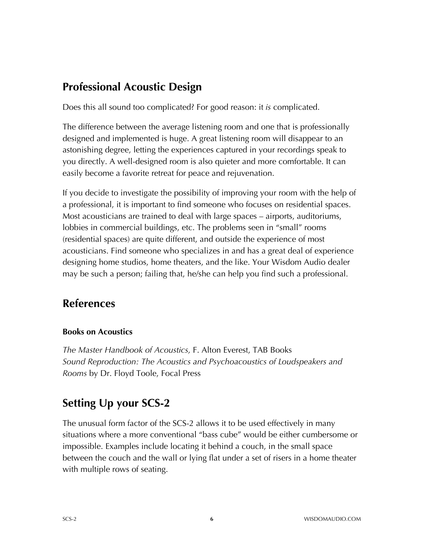# **Professional Acoustic Design**

Does this all sound too complicated? For good reason: it *is* complicated.

The difference between the average listening room and one that is professionally designed and implemented is huge. A great listening room will disappear to an astonishing degree, letting the experiences captured in your recordings speak to you directly. A well-designed room is also quieter and more comfortable. It can easily become a favorite retreat for peace and rejuvenation.

If you decide to investigate the possibility of improving your room with the help of a professional, it is important to find someone who focuses on residential spaces. Most acousticians are trained to deal with large spaces – airports, auditoriums, lobbies in commercial buildings, etc. The problems seen in "small" rooms (residential spaces) are quite different, and outside the experience of most acousticians. Find someone who specializes in and has a great deal of experience designing home studios, home theaters, and the like. Your Wisdom Audio dealer may be such a person; failing that, he/she can help you find such a professional.

# **References**

#### **Books on Acoustics**

*The Master Handbook of Acoustics,* F. Alton Everest, TAB Books *Sound Reproduction: The Acoustics and Psychoacoustics of Loudspeakers and Rooms* by Dr. Floyd Toole, Focal Press

# **Setting Up your SCS-2**

The unusual form factor of the SCS-2 allows it to be used effectively in many situations where a more conventional "bass cube" would be either cumbersome or impossible. Examples include locating it behind a couch, in the small space between the couch and the wall or lying flat under a set of risers in a home theater with multiple rows of seating.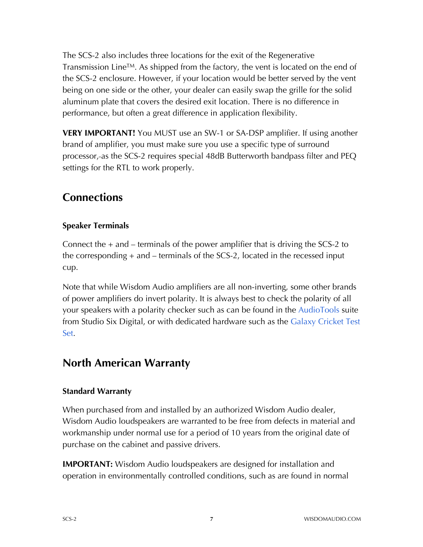The SCS-2 also includes three locations for the exit of the Regenerative Transmission Line<sup>TM</sup>. As shipped from the factory, the vent is located on the end of the SCS-2 enclosure. However, if your location would be better served by the vent being on one side or the other, your dealer can easily swap the grille for the solid aluminum plate that covers the desired exit location. There is no difference in performance, but often a great difference in application flexibility.

**VERY IMPORTANT!** You MUST use an SW-1 or SA-DSP amplifier. If using another brand of amplifier, you must make sure you use a specific type of surround processor, as the SCS-2 requires special 48dB Butterworth bandpass filter and PEQ settings for the RTL to work properly.

### **Connections**

#### **Speaker Terminals**

Connect the + and – terminals of the power amplifier that is driving the SCS-2 to the corresponding + and – terminals of the SCS-2, located in the recessed input cup.

Note that while Wisdom Audio amplifiers are all non-inverting, some other brands of power amplifiers do invert polarity. It is always best to check the polarity of all your speakers with a polarity checker such as can be found in the AudioTools suite from Studio Six Digital, or with dedicated hardware such as the Galaxy Cricket Test Set.

### **North American Warranty**

#### **Standard Warranty**

When purchased from and installed by an authorized Wisdom Audio dealer, Wisdom Audio loudspeakers are warranted to be free from defects in material and workmanship under normal use for a period of 10 years from the original date of purchase on the cabinet and passive drivers.

**IMPORTANT:** Wisdom Audio loudspeakers are designed for installation and operation in environmentally controlled conditions, such as are found in normal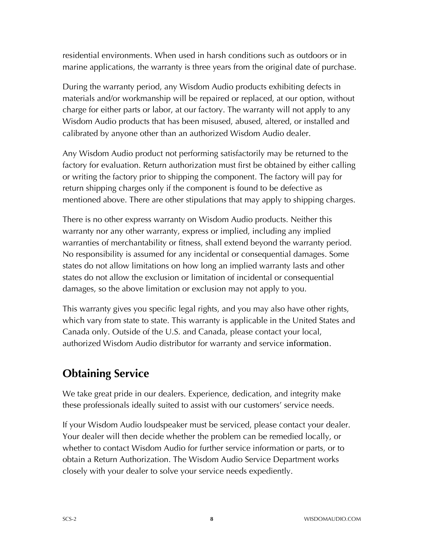residential environments. When used in harsh conditions such as outdoors or in marine applications, the warranty is three years from the original date of purchase.

During the warranty period, any Wisdom Audio products exhibiting defects in materials and/or workmanship will be repaired or replaced, at our option, without charge for either parts or labor, at our factory. The warranty will not apply to any Wisdom Audio products that has been misused, abused, altered, or installed and calibrated by anyone other than an authorized Wisdom Audio dealer.

Any Wisdom Audio product not performing satisfactorily may be returned to the factory for evaluation. Return authorization must first be obtained by either calling or writing the factory prior to shipping the component. The factory will pay for return shipping charges only if the component is found to be defective as mentioned above. There are other stipulations that may apply to shipping charges.

There is no other express warranty on Wisdom Audio products. Neither this warranty nor any other warranty, express or implied, including any implied warranties of merchantability or fitness, shall extend beyond the warranty period. No responsibility is assumed for any incidental or consequential damages. Some states do not allow limitations on how long an implied warranty lasts and other states do not allow the exclusion or limitation of incidental or consequential damages, so the above limitation or exclusion may not apply to you.

This warranty gives you specific legal rights, and you may also have other rights, which vary from state to state. This warranty is applicable in the United States and Canada only. Outside of the U.S. and Canada, please contact your local, authorized Wisdom Audio distributor for warranty and service information.

# **Obtaining Service**

We take great pride in our dealers. Experience, dedication, and integrity make these professionals ideally suited to assist with our customers' service needs.

If your Wisdom Audio loudspeaker must be serviced, please contact your dealer. Your dealer will then decide whether the problem can be remedied locally, or whether to contact Wisdom Audio for further service information or parts, or to obtain a Return Authorization. The Wisdom Audio Service Department works closely with your dealer to solve your service needs expediently.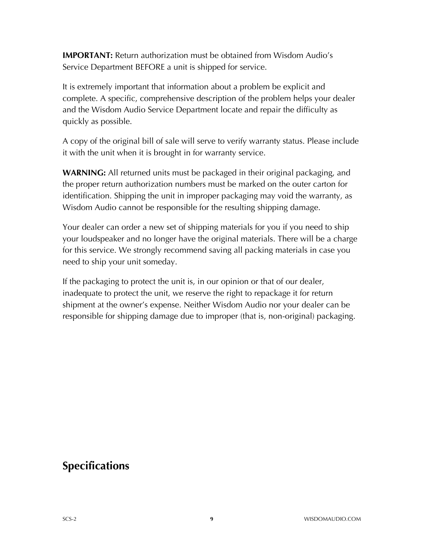**IMPORTANT:** Return authorization must be obtained from Wisdom Audio's Service Department BEFORE a unit is shipped for service.

It is extremely important that information about a problem be explicit and complete. A specific, comprehensive description of the problem helps your dealer and the Wisdom Audio Service Department locate and repair the difficulty as quickly as possible.

A copy of the original bill of sale will serve to verify warranty status. Please include it with the unit when it is brought in for warranty service.

**WARNING:** All returned units must be packaged in their original packaging, and the proper return authorization numbers must be marked on the outer carton for identification. Shipping the unit in improper packaging may void the warranty, as Wisdom Audio cannot be responsible for the resulting shipping damage.

Your dealer can order a new set of shipping materials for you if you need to ship your loudspeaker and no longer have the original materials. There will be a charge for this service. We strongly recommend saving all packing materials in case you need to ship your unit someday.

If the packaging to protect the unit is, in our opinion or that of our dealer, inadequate to protect the unit, we reserve the right to repackage it for return shipment at the owner's expense. Neither Wisdom Audio nor your dealer can be responsible for shipping damage due to improper (that is, non-original) packaging.

### **Specifications**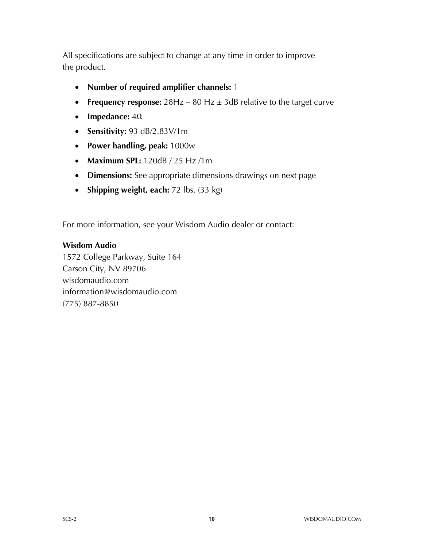All specifications are subject to change at any time in order to improve the product.

- **Number of required amplifier channels:** 1
- **Frequency response:** 28Hz 80 Hz  $\pm$  3dB relative to the target curve
- **Impedance:** 4Ω
- **Sensitivity:** 93 dB/2.83V/1m
- **Power handling, peak:** 1000w
- **Maximum SPL:** 120dB / 25 Hz /1m
- **Dimensions:** See appropriate dimensions drawings on next page
- **Shipping weight, each:** 72 lbs. (33 kg)

For more information, see your Wisdom Audio dealer or contact:

#### **Wisdom Audio**

1572 College Parkway, Suite 164 Carson City, NV 89706 wisdomaudio.com information@wisdomaudio.com (775) 887-8850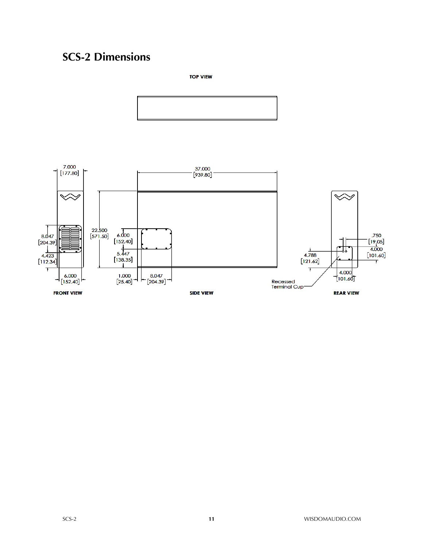# **SCS-2 Dimensions**

**TOP VIEW**